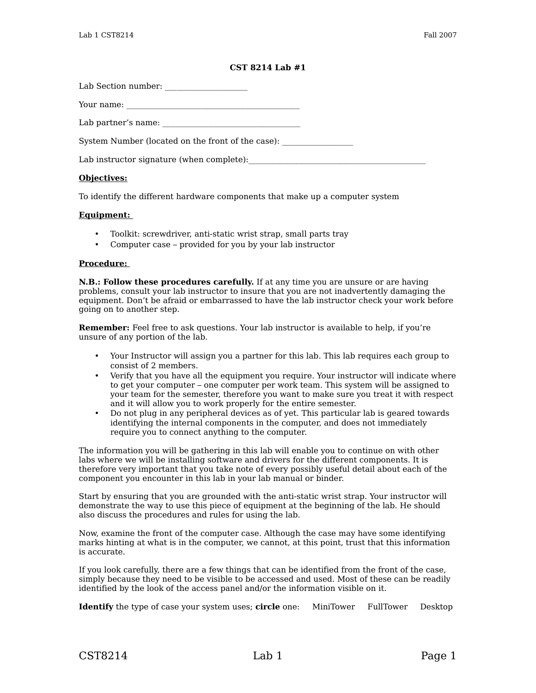# **CST 8214 Lab #1**

Lab Section number: \_\_\_\_\_\_\_\_\_\_\_\_\_\_\_\_\_\_\_\_\_

Your name: \_\_\_\_\_\_\_\_\_\_\_\_\_\_\_\_\_\_\_\_\_\_\_\_\_\_\_\_\_\_\_\_\_\_\_\_\_\_\_\_\_\_\_\_

Lab partner's name: \_\_\_\_\_\_\_\_\_\_\_\_\_\_\_\_\_\_\_\_\_\_\_\_\_\_\_\_\_\_\_\_\_\_\_

System Number (located on the front of the case):

Lab instructor signature (when complete):

# **Objectives:**

To identify the different hardware components that make up a computer system

# **Equipment:**

- Toolkit: screwdriver, anti-static wrist strap, small parts tray
- Computer case provided for you by your lab instructor

#### **Procedure:**

**N.B.: Follow these procedures carefully.** If at any time you are unsure or are having problems, consult your lab instructor to insure that you are not inadvertently damaging the equipment. Don't be afraid or embarrassed to have the lab instructor check your work before going on to another step.

**Remember:** Feel free to ask questions. Your lab instructor is available to help, if you're unsure of any portion of the lab.

- Your Instructor will assign you a partner for this lab. This lab requires each group to consist of 2 members.
- Verify that you have all the equipment you require. Your instructor will indicate where to get your computer – one computer per work team. This system will be assigned to your team for the semester, therefore you want to make sure you treat it with respect and it will allow you to work properly for the entire semester.
- Do not plug in any peripheral devices as of yet. This particular lab is geared towards identifying the internal components in the computer, and does not immediately require you to connect anything to the computer.

The information you will be gathering in this lab will enable you to continue on with other labs where we will be installing software and drivers for the different components. It is therefore very important that you take note of every possibly useful detail about each of the component you encounter in this lab in your lab manual or binder.

Start by ensuring that you are grounded with the anti-static wrist strap. Your instructor will demonstrate the way to use this piece of equipment at the beginning of the lab. He should also discuss the procedures and rules for using the lab.

Now, examine the front of the computer case. Although the case may have some identifying marks hinting at what is in the computer, we cannot, at this point, trust that this information is accurate.

If you look carefully, there are a few things that can be identified from the front of the case, simply because they need to be visible to be accessed and used. Most of these can be readily identified by the look of the access panel and/or the information visible on it.

**Identify** the type of case your system uses; **circle** one: MiniTower FullTower Desktop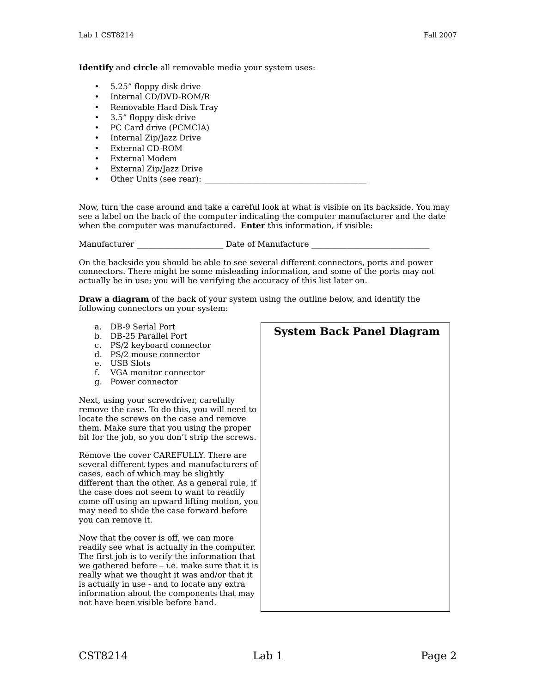**Identify** and **circle** all removable media your system uses:

- 5.25" floppy disk drive
- Internal CD/DVD-ROM/R
- Removable Hard Disk Tray
- 3.5" floppy disk drive
- PC Card drive (PCMCIA)
- Internal Zip/Jazz Drive
- External CD-ROM
- External Modem
- External Zip/Jazz Drive
- Other Units (see rear):

Now, turn the case around and take a careful look at what is visible on its backside. You may see a label on the back of the computer indicating the computer manufacturer and the date when the computer was manufactured. **Enter** this information, if visible:

Manufacturer and all the Date of Manufacture  $\Gamma$ 

On the backside you should be able to see several different connectors, ports and power connectors. There might be some misleading information, and some of the ports may not actually be in use; you will be verifying the accuracy of this list later on.

**Draw a diagram** of the back of your system using the outline below, and identify the following connectors on your system:

a. DB-9 Serial Port b. DB-25 Parallel Port c. PS/2 keyboard connector d. PS/2 mouse connector e. USB Slots f. VGA monitor connector g. Power connector Next, using your screwdriver, carefully remove the case. To do this, you will need to locate the screws on the case and remove them. Make sure that you using the proper bit for the job, so you don't strip the screws. Remove the cover CAREFULLY. There are several different types and manufacturers of cases, each of which may be slightly different than the other. As a general rule, if the case does not seem to want to readily come off using an upward lifting motion, you may need to slide the case forward before you can remove it. Now that the cover is off, we can more readily see what is actually in the computer. The first job is to verify the information that we gathered before – i.e. make sure that it is really what we thought it was and/or that it is actually in use - and to locate any extra information about the components that may not have been visible before hand. **System Back Panel Diagram**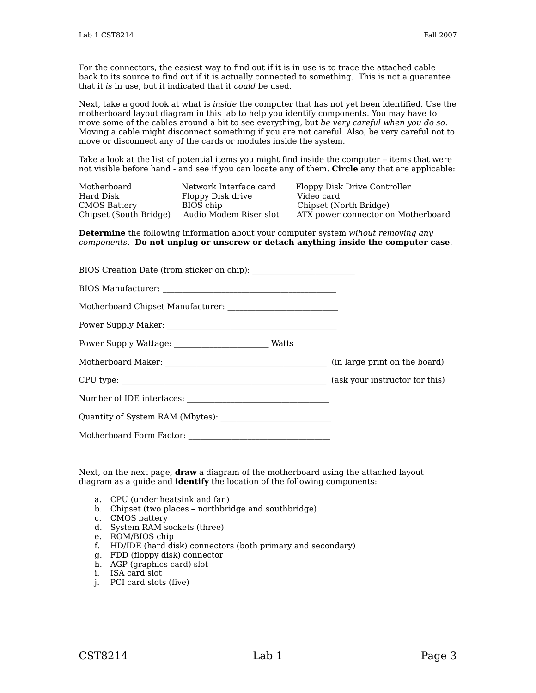For the connectors, the easiest way to find out if it is in use is to trace the attached cable back to its source to find out if it is actually connected to something. This is not a guarantee that it is in use, but it indicated that it could be used.

Next, take a good look at what is inside the computer that has not yet been identified. Use the motherboard layout diagram in this lab to help you identify components. You may have to move some of the cables around a bit to see everything, but be very careful when you do so. Moving a cable might disconnect something if you are not careful. Also, be very careful not to move or disconnect any of the cards or modules inside the system.

Take a look at the list of potential items you might find inside the computer – items that were not visible before hand - and see if you can locate any of them. **Circle** any that are applicable:

| Motherboard<br>Hard Disk | Network Interface card<br>Floppy Disk drive | Floppy Disk Drive Controller<br>Video card |
|--------------------------|---------------------------------------------|--------------------------------------------|
| <b>CMOS Battery</b>      | BIOS chip                                   | Chipset (North Bridge)                     |
| Chipset (South Bridge)   | Audio Modem Riser slot                      | ATX power connector on Motherboard         |

**Determine** the following information about your computer system wihout removing any components. **Do not unplug or unscrew or detach anything inside the computer case**.

Next, on the next page, **draw** a diagram of the motherboard using the attached layout diagram as a guide and **identify** the location of the following components:

- a. CPU (under heatsink and fan)
- b. Chipset (two places northbridge and southbridge)
- c. CMOS battery
- d. System RAM sockets (three)
- e. ROM/BIOS chip
- f. HD/IDE (hard disk) connectors (both primary and secondary)
- g. FDD (floppy disk) connector
- h. AGP (graphics card) slot
- i. ISA card slot
- j. PCI card slots (five)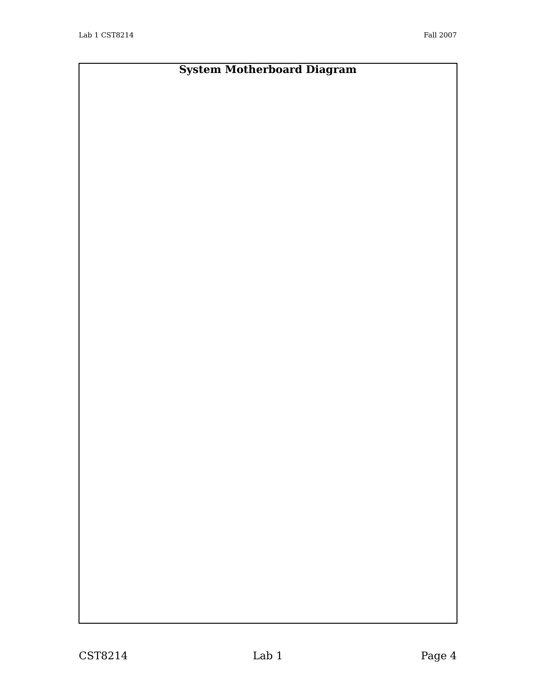# **System Motherboard Diagram**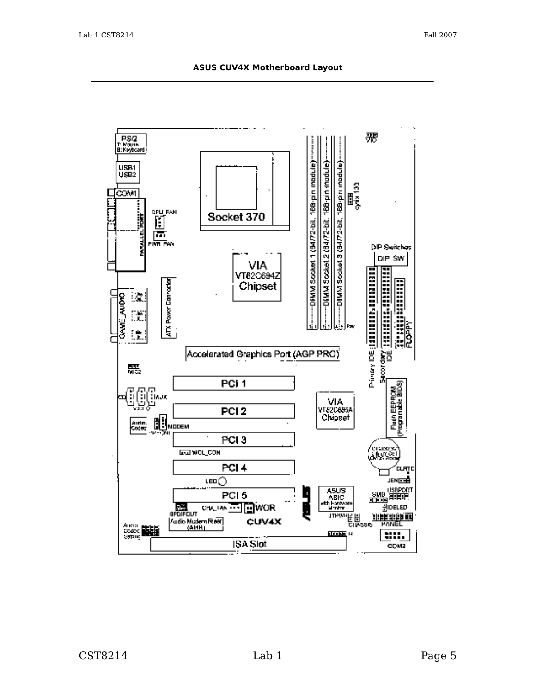